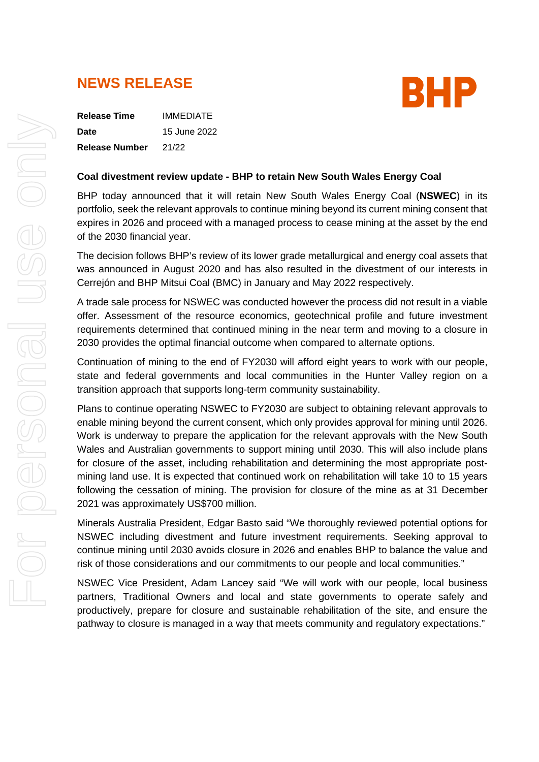# **NEWS RELEASE**



**Release Time** IMMEDIATE **Date** 15 June 2022 **Release Number** 21/22

# **Coal divestment review update - BHP to retain New South Wales Energy Coal**

BHP today announced that it will retain New South Wales Energy Coal (**NSWEC**) in its portfolio, seek the relevant approvals to continue mining beyond its current mining consent that expires in 2026 and proceed with a managed process to cease mining at the asset by the end of the 2030 financial year.

The decision follows BHP's review of its lower grade metallurgical and energy coal assets that was announced in August 2020 and has also resulted in the divestment of our interests in Cerrejón and BHP Mitsui Coal (BMC) in January and May 2022 respectively.

A trade sale process for NSWEC was conducted however the process did not result in a viable offer. Assessment of the resource economics, geotechnical profile and future investment requirements determined that continued mining in the near term and moving to a closure in 2030 provides the optimal financial outcome when compared to alternate options.

Continuation of mining to the end of FY2030 will afford eight years to work with our people, state and federal governments and local communities in the Hunter Valley region on a transition approach that supports long-term community sustainability.

Plans to continue operating NSWEC to FY2030 are subject to obtaining relevant approvals to enable mining beyond the current consent, which only provides approval for mining until 2026. Work is underway to prepare the application for the relevant approvals with the New South Wales and Australian governments to support mining until 2030. This will also include plans for closure of the asset, including rehabilitation and determining the most appropriate postmining land use. It is expected that continued work on rehabilitation will take 10 to 15 years following the cessation of mining. The provision for closure of the mine as at 31 December 2021 was approximately US\$700 million.

Minerals Australia President, Edgar Basto said "We thoroughly reviewed potential options for NSWEC including divestment and future investment requirements. Seeking approval to continue mining until 2030 avoids closure in 2026 and enables BHP to balance the value and risk of those considerations and our commitments to our people and local communities."

NSWEC Vice President, Adam Lancey said "We will work with our people, local business partners, Traditional Owners and local and state governments to operate safely and productively, prepare for closure and sustainable rehabilitation of the site, and ensure the pathway to closure is managed in a way that meets community and regulatory expectations."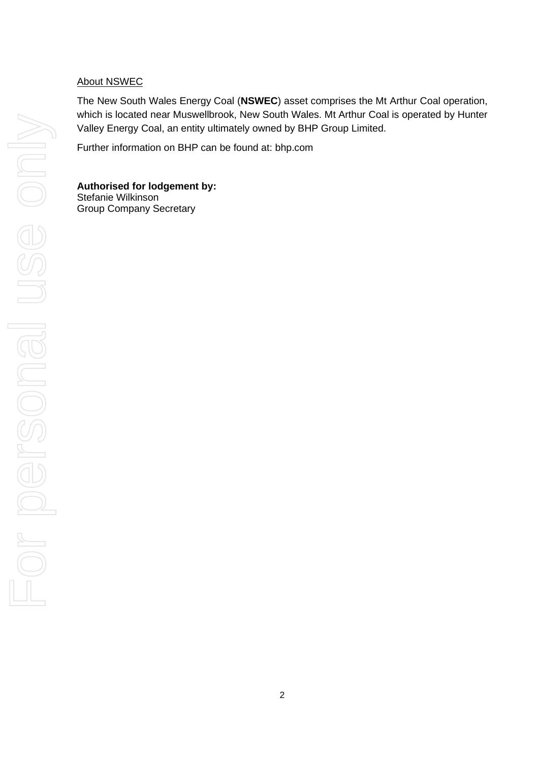# About NSWEC

The New South Wales Energy Coal (**NSWEC**) asset comprises the Mt Arthur Coal operation, which is located near Muswellbrook, New South Wales. Mt Arthur Coal is operated by Hunter Valley Energy Coal, an entity ultimately owned by BHP Group Limited.

Further information on BHP can be found at: [bhp.com](http://www.bhp.com/)

**Authorised for lodgement by:** Stefanie Wilkinson Group Company Secretary